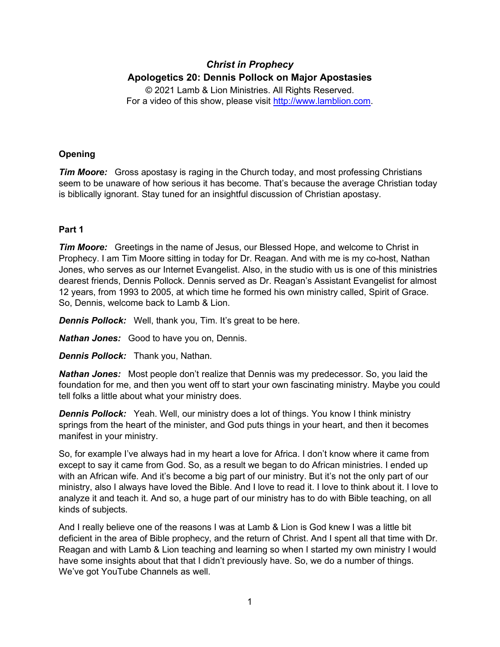# *Christ in Prophecy* **Apologetics 20: Dennis Pollock on Major Apostasies**

© 2021 Lamb & Lion Ministries. All Rights Reserved. For a video of this show, please visit [http://www.lamblion.com.](http://www.lamblion.com/)

### **Opening**

*Tim Moore:* Gross apostasy is raging in the Church today, and most professing Christians seem to be unaware of how serious it has become. That's because the average Christian today is biblically ignorant. Stay tuned for an insightful discussion of Christian apostasy.

## **Part 1**

*Tim Moore:* Greetings in the name of Jesus, our Blessed Hope, and welcome to Christ in Prophecy. I am Tim Moore sitting in today for Dr. Reagan. And with me is my co-host, Nathan Jones, who serves as our Internet Evangelist. Also, in the studio with us is one of this ministries dearest friends, Dennis Pollock. Dennis served as Dr. Reagan's Assistant Evangelist for almost 12 years, from 1993 to 2005, at which time he formed his own ministry called, Spirit of Grace. So, Dennis, welcome back to Lamb & Lion.

**Dennis Pollock:** Well, thank you, Tim. It's great to be here.

*Nathan Jones:* Good to have you on, Dennis.

*Dennis Pollock:* Thank you, Nathan.

*Nathan Jones:* Most people don't realize that Dennis was my predecessor. So, you laid the foundation for me, and then you went off to start your own fascinating ministry. Maybe you could tell folks a little about what your ministry does.

*Dennis Pollock:* Yeah. Well, our ministry does a lot of things. You know I think ministry springs from the heart of the minister, and God puts things in your heart, and then it becomes manifest in your ministry.

So, for example I've always had in my heart a love for Africa. I don't know where it came from except to say it came from God. So, as a result we began to do African ministries. I ended up with an African wife. And it's become a big part of our ministry. But it's not the only part of our ministry, also I always have loved the Bible. And I love to read it. I love to think about it. I love to analyze it and teach it. And so, a huge part of our ministry has to do with Bible teaching, on all kinds of subjects.

And I really believe one of the reasons I was at Lamb & Lion is God knew I was a little bit deficient in the area of Bible prophecy, and the return of Christ. And I spent all that time with Dr. Reagan and with Lamb & Lion teaching and learning so when I started my own ministry I would have some insights about that that I didn't previously have. So, we do a number of things. We've got YouTube Channels as well.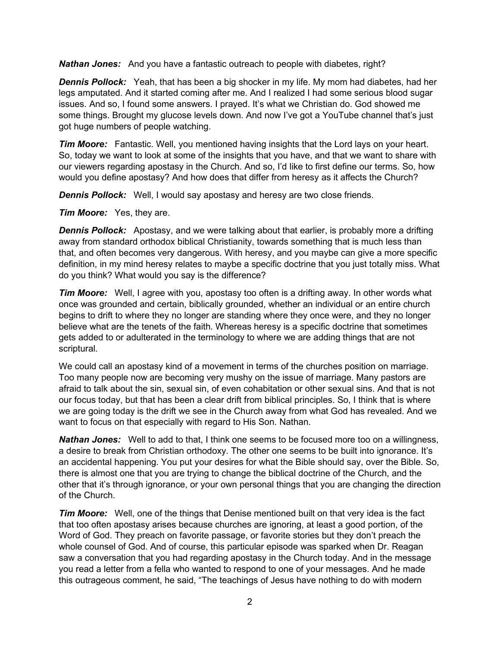*Nathan Jones:* And you have a fantastic outreach to people with diabetes, right?

*Dennis Pollock:* Yeah, that has been a big shocker in my life. My mom had diabetes, had her legs amputated. And it started coming after me. And I realized I had some serious blood sugar issues. And so, I found some answers. I prayed. It's what we Christian do. God showed me some things. Brought my glucose levels down. And now I've got a YouTube channel that's just got huge numbers of people watching.

*Tim Moore:* Fantastic. Well, you mentioned having insights that the Lord lays on your heart. So, today we want to look at some of the insights that you have, and that we want to share with our viewers regarding apostasy in the Church. And so, I'd like to first define our terms. So, how would you define apostasy? And how does that differ from heresy as it affects the Church?

*Dennis Pollock:* Well, I would say apostasy and heresy are two close friends.

*Tim Moore:* Yes, they are.

**Dennis Pollock:** Apostasy, and we were talking about that earlier, is probably more a drifting away from standard orthodox biblical Christianity, towards something that is much less than that, and often becomes very dangerous. With heresy, and you maybe can give a more specific definition, in my mind heresy relates to maybe a specific doctrine that you just totally miss. What do you think? What would you say is the difference?

*Tim Moore:* Well, I agree with you, apostasy too often is a drifting away. In other words what once was grounded and certain, biblically grounded, whether an individual or an entire church begins to drift to where they no longer are standing where they once were, and they no longer believe what are the tenets of the faith. Whereas heresy is a specific doctrine that sometimes gets added to or adulterated in the terminology to where we are adding things that are not scriptural.

We could call an apostasy kind of a movement in terms of the churches position on marriage. Too many people now are becoming very mushy on the issue of marriage. Many pastors are afraid to talk about the sin, sexual sin, of even cohabitation or other sexual sins. And that is not our focus today, but that has been a clear drift from biblical principles. So, I think that is where we are going today is the drift we see in the Church away from what God has revealed. And we want to focus on that especially with regard to His Son. Nathan.

*Nathan Jones:* Well to add to that, I think one seems to be focused more too on a willingness, a desire to break from Christian orthodoxy. The other one seems to be built into ignorance. It's an accidental happening. You put your desires for what the Bible should say, over the Bible. So, there is almost one that you are trying to change the biblical doctrine of the Church, and the other that it's through ignorance, or your own personal things that you are changing the direction of the Church.

*Tim Moore:* Well, one of the things that Denise mentioned built on that very idea is the fact that too often apostasy arises because churches are ignoring, at least a good portion, of the Word of God. They preach on favorite passage, or favorite stories but they don't preach the whole counsel of God. And of course, this particular episode was sparked when Dr. Reagan saw a conversation that you had regarding apostasy in the Church today. And in the message you read a letter from a fella who wanted to respond to one of your messages. And he made this outrageous comment, he said, "The teachings of Jesus have nothing to do with modern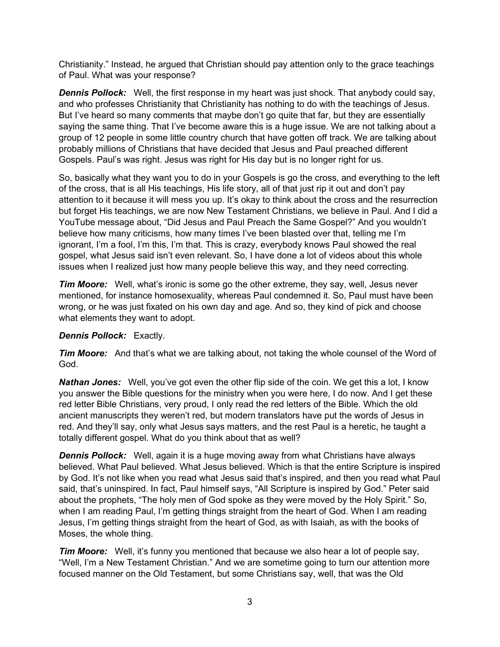Christianity." Instead, he argued that Christian should pay attention only to the grace teachings of Paul. What was your response?

*Dennis Pollock:* Well, the first response in my heart was just shock. That anybody could say, and who professes Christianity that Christianity has nothing to do with the teachings of Jesus. But I've heard so many comments that maybe don't go quite that far, but they are essentially saying the same thing. That I've become aware this is a huge issue. We are not talking about a group of 12 people in some little country church that have gotten off track. We are talking about probably millions of Christians that have decided that Jesus and Paul preached different Gospels. Paul's was right. Jesus was right for His day but is no longer right for us.

So, basically what they want you to do in your Gospels is go the cross, and everything to the left of the cross, that is all His teachings, His life story, all of that just rip it out and don't pay attention to it because it will mess you up. It's okay to think about the cross and the resurrection but forget His teachings, we are now New Testament Christians, we believe in Paul. And I did a YouTube message about, "Did Jesus and Paul Preach the Same Gospel?" And you wouldn't believe how many criticisms, how many times I've been blasted over that, telling me I'm ignorant, I'm a fool, I'm this, I'm that. This is crazy, everybody knows Paul showed the real gospel, what Jesus said isn't even relevant. So, I have done a lot of videos about this whole issues when I realized just how many people believe this way, and they need correcting.

*Tim Moore:* Well, what's ironic is some go the other extreme, they say, well, Jesus never mentioned, for instance homosexuality, whereas Paul condemned it. So, Paul must have been wrong, or he was just fixated on his own day and age. And so, they kind of pick and choose what elements they want to adopt.

#### *Dennis Pollock:* Exactly.

*Tim Moore:* And that's what we are talking about, not taking the whole counsel of the Word of God.

*Nathan Jones:* Well, you've got even the other flip side of the coin. We get this a lot, I know you answer the Bible questions for the ministry when you were here, I do now. And I get these red letter Bible Christians, very proud, I only read the red letters of the Bible. Which the old ancient manuscripts they weren't red, but modern translators have put the words of Jesus in red. And they'll say, only what Jesus says matters, and the rest Paul is a heretic, he taught a totally different gospel. What do you think about that as well?

*Dennis Pollock:* Well, again it is a huge moving away from what Christians have always believed. What Paul believed. What Jesus believed. Which is that the entire Scripture is inspired by God. It's not like when you read what Jesus said that's inspired, and then you read what Paul said, that's uninspired. In fact, Paul himself says, "All Scripture is inspired by God." Peter said about the prophets, "The holy men of God spoke as they were moved by the Holy Spirit." So, when I am reading Paul, I'm getting things straight from the heart of God. When I am reading Jesus, I'm getting things straight from the heart of God, as with Isaiah, as with the books of Moses, the whole thing.

*Tim Moore:* Well, it's funny you mentioned that because we also hear a lot of people say, "Well, I'm a New Testament Christian." And we are sometime going to turn our attention more focused manner on the Old Testament, but some Christians say, well, that was the Old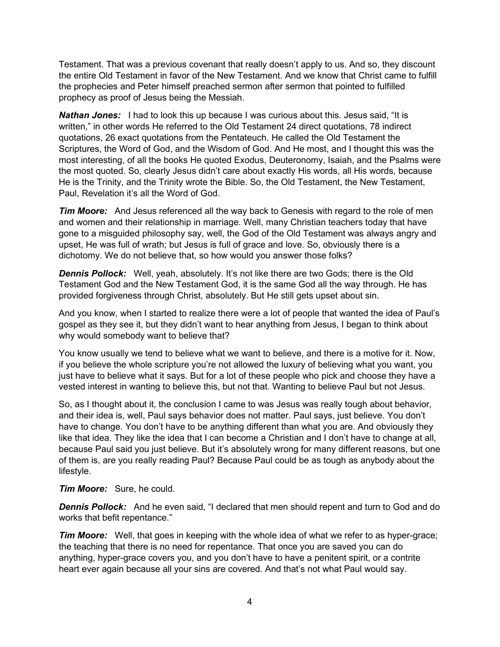Testament. That was a previous covenant that really doesn't apply to us. And so, they discount the entire Old Testament in favor of the New Testament. And we know that Christ came to fulfill the prophecies and Peter himself preached sermon after sermon that pointed to fulfilled prophecy as proof of Jesus being the Messiah.

*Nathan Jones:* I had to look this up because I was curious about this. Jesus said, "It is written," in other words He referred to the Old Testament 24 direct quotations, 78 indirect quotations, 26 exact quotations from the Pentateuch. He called the Old Testament the Scriptures, the Word of God, and the Wisdom of God. And He most, and I thought this was the most interesting, of all the books He quoted Exodus, Deuteronomy, Isaiah, and the Psalms were the most quoted. So, clearly Jesus didn't care about exactly His words, all His words, because He is the Trinity, and the Trinity wrote the Bible. So, the Old Testament, the New Testament, Paul, Revelation it's all the Word of God.

**Tim Moore:** And Jesus referenced all the way back to Genesis with regard to the role of men and women and their relationship in marriage. Well, many Christian teachers today that have gone to a misguided philosophy say, well, the God of the Old Testament was always angry and upset, He was full of wrath; but Jesus is full of grace and love. So, obviously there is a dichotomy. We do not believe that, so how would you answer those folks?

**Dennis Pollock:** Well, yeah, absolutely. It's not like there are two Gods; there is the Old Testament God and the New Testament God, it is the same God all the way through. He has provided forgiveness through Christ, absolutely. But He still gets upset about sin.

And you know, when I started to realize there were a lot of people that wanted the idea of Paul's gospel as they see it, but they didn't want to hear anything from Jesus, I began to think about why would somebody want to believe that?

You know usually we tend to believe what we want to believe, and there is a motive for it. Now, if you believe the whole scripture you're not allowed the luxury of believing what you want, you just have to believe what it says. But for a lot of these people who pick and choose they have a vested interest in wanting to believe this, but not that. Wanting to believe Paul but not Jesus.

So, as I thought about it, the conclusion I came to was Jesus was really tough about behavior, and their idea is, well, Paul says behavior does not matter. Paul says, just believe. You don't have to change. You don't have to be anything different than what you are. And obviously they like that idea. They like the idea that I can become a Christian and I don't have to change at all, because Paul said you just believe. But it's absolutely wrong for many different reasons, but one of them is, are you really reading Paul? Because Paul could be as tough as anybody about the lifestyle.

*Tim Moore:* Sure, he could.

*Dennis Pollock:* And he even said, "I declared that men should repent and turn to God and do works that befit repentance."

*Tim Moore:* Well, that goes in keeping with the whole idea of what we refer to as hyper-grace; the teaching that there is no need for repentance. That once you are saved you can do anything, hyper-grace covers you, and you don't have to have a penitent spirit, or a contrite heart ever again because all your sins are covered. And that's not what Paul would say.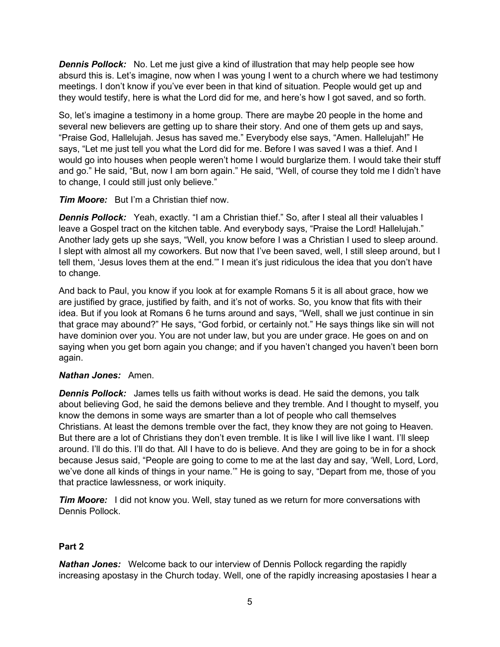**Dennis Pollock:** No. Let me just give a kind of illustration that may help people see how absurd this is. Let's imagine, now when I was young I went to a church where we had testimony meetings. I don't know if you've ever been in that kind of situation. People would get up and they would testify, here is what the Lord did for me, and here's how I got saved, and so forth.

So, let's imagine a testimony in a home group. There are maybe 20 people in the home and several new believers are getting up to share their story. And one of them gets up and says, "Praise God, Hallelujah. Jesus has saved me." Everybody else says, "Amen. Hallelujah!" He says, "Let me just tell you what the Lord did for me. Before I was saved I was a thief. And I would go into houses when people weren't home I would burglarize them. I would take their stuff and go." He said, "But, now I am born again." He said, "Well, of course they told me I didn't have to change, I could still just only believe."

*Tim Moore:* But I'm a Christian thief now.

*Dennis Pollock:* Yeah, exactly. "I am a Christian thief." So, after I steal all their valuables I leave a Gospel tract on the kitchen table. And everybody says, "Praise the Lord! Hallelujah." Another lady gets up she says, "Well, you know before I was a Christian I used to sleep around. I slept with almost all my coworkers. But now that I've been saved, well, I still sleep around, but I tell them, 'Jesus loves them at the end.'" I mean it's just ridiculous the idea that you don't have to change.

And back to Paul, you know if you look at for example Romans 5 it is all about grace, how we are justified by grace, justified by faith, and it's not of works. So, you know that fits with their idea. But if you look at Romans 6 he turns around and says, "Well, shall we just continue in sin that grace may abound?" He says, "God forbid, or certainly not." He says things like sin will not have dominion over you. You are not under law, but you are under grace. He goes on and on saying when you get born again you change; and if you haven't changed you haven't been born again.

#### *Nathan Jones:* Amen.

*Dennis Pollock:* James tells us faith without works is dead. He said the demons, you talk about believing God, he said the demons believe and they tremble. And I thought to myself, you know the demons in some ways are smarter than a lot of people who call themselves Christians. At least the demons tremble over the fact, they know they are not going to Heaven. But there are a lot of Christians they don't even tremble. It is like I will live like I want. I'll sleep around. I'll do this. I'll do that. All I have to do is believe. And they are going to be in for a shock because Jesus said, "People are going to come to me at the last day and say, 'Well, Lord, Lord, we've done all kinds of things in your name.'" He is going to say, "Depart from me, those of you that practice lawlessness, or work iniquity.

*Tim Moore:* I did not know you. Well, stay tuned as we return for more conversations with Dennis Pollock.

### **Part 2**

*Nathan Jones:* Welcome back to our interview of Dennis Pollock regarding the rapidly increasing apostasy in the Church today. Well, one of the rapidly increasing apostasies I hear a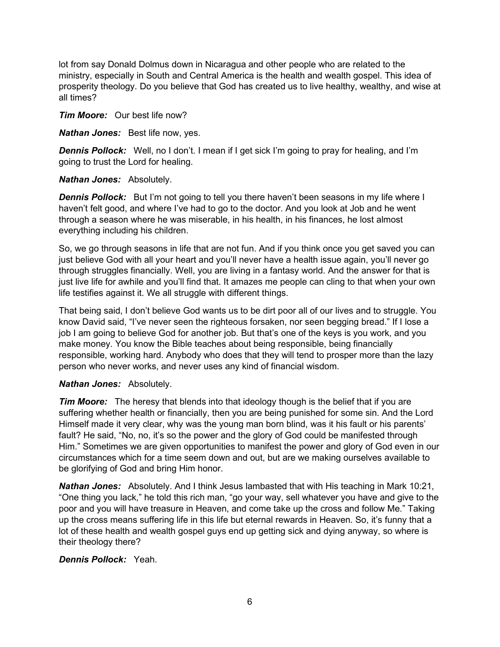lot from say Donald Dolmus down in Nicaragua and other people who are related to the ministry, especially in South and Central America is the health and wealth gospel. This idea of prosperity theology. Do you believe that God has created us to live healthy, wealthy, and wise at all times?

*Tim Moore:* Our best life now?

*Nathan Jones:* Best life now, yes.

*Dennis Pollock:* Well, no I don't. I mean if I get sick I'm going to pray for healing, and I'm going to trust the Lord for healing.

#### *Nathan Jones:* Absolutely.

**Dennis Pollock:** But I'm not going to tell you there haven't been seasons in my life where I haven't felt good, and where I've had to go to the doctor. And you look at Job and he went through a season where he was miserable, in his health, in his finances, he lost almost everything including his children.

So, we go through seasons in life that are not fun. And if you think once you get saved you can just believe God with all your heart and you'll never have a health issue again, you'll never go through struggles financially. Well, you are living in a fantasy world. And the answer for that is just live life for awhile and you'll find that. It amazes me people can cling to that when your own life testifies against it. We all struggle with different things.

That being said, I don't believe God wants us to be dirt poor all of our lives and to struggle. You know David said, "I've never seen the righteous forsaken, nor seen begging bread." If I lose a job I am going to believe God for another job. But that's one of the keys is you work, and you make money. You know the Bible teaches about being responsible, being financially responsible, working hard. Anybody who does that they will tend to prosper more than the lazy person who never works, and never uses any kind of financial wisdom.

### *Nathan Jones:* Absolutely.

*Tim Moore:* The heresy that blends into that ideology though is the belief that if you are suffering whether health or financially, then you are being punished for some sin. And the Lord Himself made it very clear, why was the young man born blind, was it his fault or his parents' fault? He said, "No, no, it's so the power and the glory of God could be manifested through Him." Sometimes we are given opportunities to manifest the power and glory of God even in our circumstances which for a time seem down and out, but are we making ourselves available to be glorifying of God and bring Him honor.

*Nathan Jones:* Absolutely. And I think Jesus lambasted that with His teaching in Mark 10:21, "One thing you lack," he told this rich man, "go your way, sell whatever you have and give to the poor and you will have treasure in Heaven, and come take up the cross and follow Me." Taking up the cross means suffering life in this life but eternal rewards in Heaven. So, it's funny that a lot of these health and wealth gospel guys end up getting sick and dying anyway, so where is their theology there?

### *Dennis Pollock:* Yeah.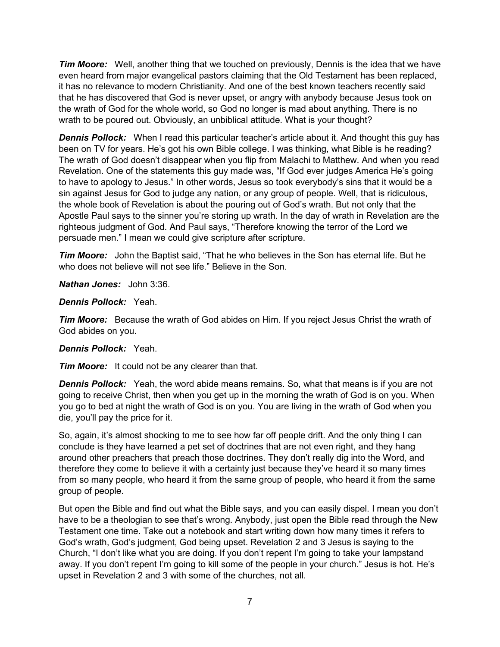*Tim Moore:* Well, another thing that we touched on previously, Dennis is the idea that we have even heard from major evangelical pastors claiming that the Old Testament has been replaced, it has no relevance to modern Christianity. And one of the best known teachers recently said that he has discovered that God is never upset, or angry with anybody because Jesus took on the wrath of God for the whole world, so God no longer is mad about anything. There is no wrath to be poured out. Obviously, an unbiblical attitude. What is your thought?

**Dennis Pollock:** When I read this particular teacher's article about it. And thought this guy has been on TV for years. He's got his own Bible college. I was thinking, what Bible is he reading? The wrath of God doesn't disappear when you flip from Malachi to Matthew. And when you read Revelation. One of the statements this guy made was, "If God ever judges America He's going to have to apology to Jesus." In other words, Jesus so took everybody's sins that it would be a sin against Jesus for God to judge any nation, or any group of people. Well, that is ridiculous, the whole book of Revelation is about the pouring out of God's wrath. But not only that the Apostle Paul says to the sinner you're storing up wrath. In the day of wrath in Revelation are the righteous judgment of God. And Paul says, "Therefore knowing the terror of the Lord we persuade men." I mean we could give scripture after scripture.

*Tim Moore:* John the Baptist said, "That he who believes in the Son has eternal life. But he who does not believe will not see life." Believe in the Son.

*Nathan Jones:* John 3:36.

*Dennis Pollock:* Yeah.

*Tim Moore:* Because the wrath of God abides on Him. If you reject Jesus Christ the wrath of God abides on you.

#### *Dennis Pollock:* Yeah.

*Tim Moore:* It could not be any clearer than that.

*Dennis Pollock:* Yeah, the word abide means remains. So, what that means is if you are not going to receive Christ, then when you get up in the morning the wrath of God is on you. When you go to bed at night the wrath of God is on you. You are living in the wrath of God when you die, you'll pay the price for it.

So, again, it's almost shocking to me to see how far off people drift. And the only thing I can conclude is they have learned a pet set of doctrines that are not even right, and they hang around other preachers that preach those doctrines. They don't really dig into the Word, and therefore they come to believe it with a certainty just because they've heard it so many times from so many people, who heard it from the same group of people, who heard it from the same group of people.

But open the Bible and find out what the Bible says, and you can easily dispel. I mean you don't have to be a theologian to see that's wrong. Anybody, just open the Bible read through the New Testament one time. Take out a notebook and start writing down how many times it refers to God's wrath, God's judgment, God being upset. Revelation 2 and 3 Jesus is saying to the Church, "I don't like what you are doing. If you don't repent I'm going to take your lampstand away. If you don't repent I'm going to kill some of the people in your church." Jesus is hot. He's upset in Revelation 2 and 3 with some of the churches, not all.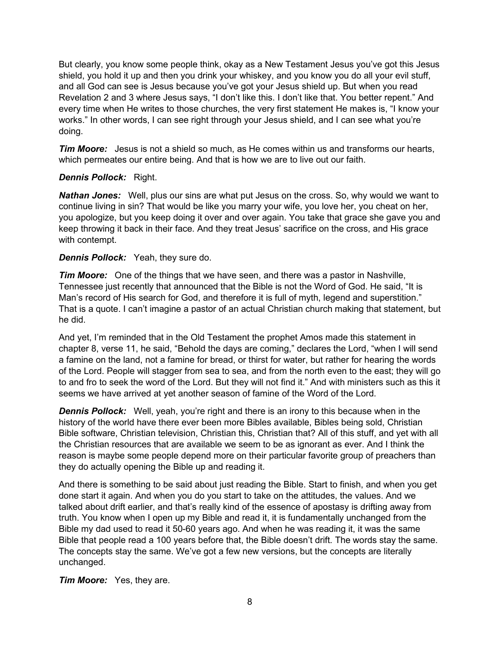But clearly, you know some people think, okay as a New Testament Jesus you've got this Jesus shield, you hold it up and then you drink your whiskey, and you know you do all your evil stuff, and all God can see is Jesus because you've got your Jesus shield up. But when you read Revelation 2 and 3 where Jesus says, "I don't like this. I don't like that. You better repent." And every time when He writes to those churches, the very first statement He makes is, "I know your works." In other words, I can see right through your Jesus shield, and I can see what you're doing.

*Tim Moore:* Jesus is not a shield so much, as He comes within us and transforms our hearts, which permeates our entire being. And that is how we are to live out our faith.

#### *Dennis Pollock:* Right.

*Nathan Jones:* Well, plus our sins are what put Jesus on the cross. So, why would we want to continue living in sin? That would be like you marry your wife, you love her, you cheat on her, you apologize, but you keep doing it over and over again. You take that grace she gave you and keep throwing it back in their face. And they treat Jesus' sacrifice on the cross, and His grace with contempt.

#### *Dennis Pollock:* Yeah, they sure do.

*Tim Moore:* One of the things that we have seen, and there was a pastor in Nashville, Tennessee just recently that announced that the Bible is not the Word of God. He said, "It is Man's record of His search for God, and therefore it is full of myth, legend and superstition." That is a quote. I can't imagine a pastor of an actual Christian church making that statement, but he did.

And yet, I'm reminded that in the Old Testament the prophet Amos made this statement in chapter 8, verse 11, he said, "Behold the days are coming," declares the Lord, "when I will send a famine on the land, not a famine for bread, or thirst for water, but rather for hearing the words of the Lord. People will stagger from sea to sea, and from the north even to the east; they will go to and fro to seek the word of the Lord. But they will not find it." And with ministers such as this it seems we have arrived at yet another season of famine of the Word of the Lord.

**Dennis Pollock:** Well, yeah, you're right and there is an irony to this because when in the history of the world have there ever been more Bibles available, Bibles being sold, Christian Bible software, Christian television, Christian this, Christian that? All of this stuff, and yet with all the Christian resources that are available we seem to be as ignorant as ever. And I think the reason is maybe some people depend more on their particular favorite group of preachers than they do actually opening the Bible up and reading it.

And there is something to be said about just reading the Bible. Start to finish, and when you get done start it again. And when you do you start to take on the attitudes, the values. And we talked about drift earlier, and that's really kind of the essence of apostasy is drifting away from truth. You know when I open up my Bible and read it, it is fundamentally unchanged from the Bible my dad used to read it 50-60 years ago. And when he was reading it, it was the same Bible that people read a 100 years before that, the Bible doesn't drift. The words stay the same. The concepts stay the same. We've got a few new versions, but the concepts are literally unchanged.

*Tim Moore:* Yes, they are.